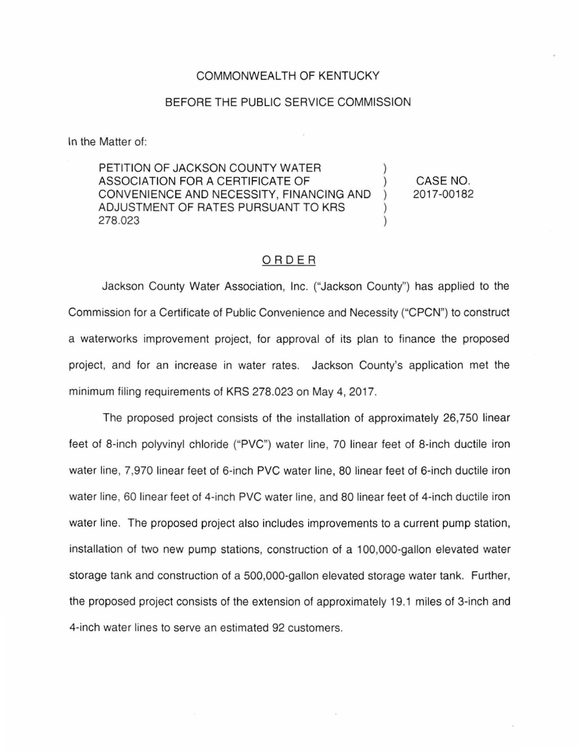#### COMMONWEALTH OF KENTUCKY

#### BEFORE THE PUBLIC SERVICE COMMISSION

In the Matter of:

PETITION OF JACKSON COUNTY WATER ASSOCIATION FOR A CERTIFICATE OF ) CONVENIENCE AND NECESSITY, FINANCING AND ADJUSTMENT OF RATES PURSUANT TO KRS 278.023 ) CASE NO. 2017-00182

## ORDER

Jackson County Water Association, Inc. ("Jackson County") has applied to the Commission for a Certificate of Public Convenience and Necessity ("CPCN") to construct a waterworks improvement project, for approval of its plan to finance the proposed project, and for an increase in water rates. Jackson County's application met the minimum filing requirements of KRS 278.023 on May 4, 2017.

The proposed project consists of the installation of approximately 26,750 linear feet of 8-inch polyvinyl chloride ("PVC") water line, 70 linear feet of 8-inch ductile iron water line, 7,970 linear feet of 6-inch PVC water line, 80 linear feet of 6-inch ductile iron water line, 60 linear feet of 4-inch PVC water line, and 80 linear feet of 4-inch ductile iron water line. The proposed project also includes improvements to a current pump station, installation of two new pump stations, construction of a 1 00,000-gallon elevated water storage tank and construction of a 500,000-gallon elevated storage water tank. Further, the proposed project consists of the extension of approximately 19.1 miles of 3-inch and 4-inch water lines to serve an estimated 92 customers.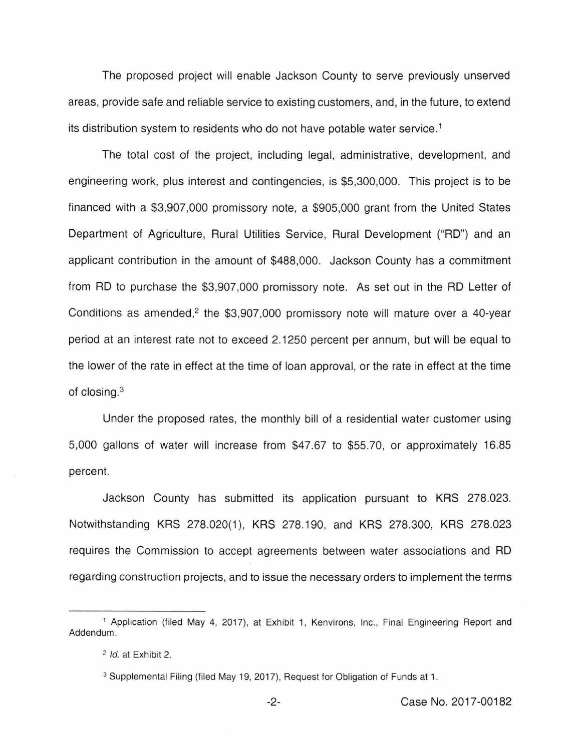The proposed project will enable Jackson County to serve previously unserved areas, provide safe and reliable service to existing customers, and, in the future, to extend its distribution system to residents who do not have potable water service.<sup>1</sup>

The total cost of the project, including legal, administrative, development, and engineering work, plus interest and contingencies, is \$5,300,000. This project is to be financed with a \$3,907,000 promissory note, a \$905,000 grant from the United States Department of Agriculture, Rural Utilities Service, Rural Development ("AD") and an applicant contribution in the amount of \$488,000. Jackson County has a commitment from AD to purchase the \$3,907,000 promissory note. As set out in the AD Letter of Conditions as amended, $2$  the \$3,907,000 promissory note will mature over a 40-year period at an interest rate not to exceed 2.1250 percent per annum, but will be equal to the lower of the rate in effect at the time of loan approval, or the rate in effect at the time of closing.<sup>3</sup>

Under the proposed rates, the monthly bill of a residential water customer using 5,000 gallons of water will increase from \$47.67 to \$55.70, or approximately 16.85 percent.

Jackson County has submitted its application pursuant to KRS 278.023. Notwithstanding KRS 278.020(1), KRS 278.190, and KRS 278.300, KRS 278.023 requires the Commission to accept agreements between water associations and AD regarding construction projects, and to issue the necessary orders to implement the terms

<sup>&</sup>lt;sup>1</sup> Application (filed May 4, 2017), at Exhibit 1, Kenvirons, Inc., Final Engineering Report and Addendum.

<sup>2</sup>*/d.* at Exhibit 2.

<sup>&</sup>lt;sup>3</sup> Supplemental Filing (filed May 19, 2017), Request for Obligation of Funds at 1.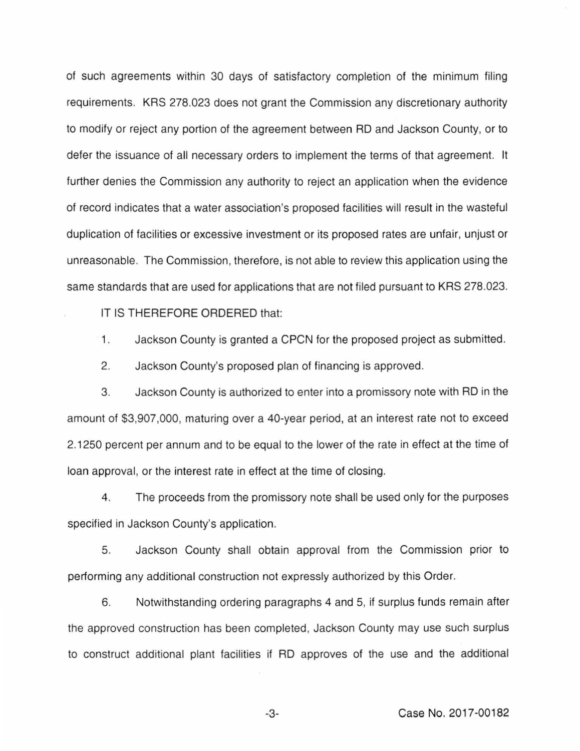of such agreements within 30 days of satisfactory completion of the minimum filing requirements. KRS 278.023 does not grant the Commission any discretionary authority to modify or reject any portion of the agreement between RD and Jackson County, or to defer the issuance of all necessary orders to implement the terms of that agreement. It further denies the Commission any authority to reject an application when the evidence of record indicates that a water association's proposed facilities will result in the wasteful duplication of facilities or excessive investment or its proposed rates are unfair, unjust or unreasonable. The Commission, therefore, is not able to review this application using the same standards that are used for applications that are not filed pursuant to KRS 278.023.

IT IS THEREFORE ORDERED that:

1. Jackson County is granted a CPCN for the proposed project as submitted.

2. Jackson County's proposed plan of financing is approved.

3. Jackson County is authorized to enter into a promissory note with RD in the amount of \$3,907,000, maturing over a 40-year period, at an interest rate not to exceed 2.1250 percent per annum and to be equal to the lower of the rate in effect at the time of loan approval, or the interest rate in effect at the time of closing.

4. The proceeds from the promissory note shall be used only for the purposes specified in Jackson County's application.

5. Jackson County shall obtain approval from the Commission prior to performing any additional construction not expressly authorized by this Order.

6. Notwithstanding ordering paragraphs 4 and 5, if surplus funds remain after the approved construction has been completed, Jackson County may use such surplus to construct additional plant facilities if RD approves of the use and the additional

-3- Case No. 2017-00182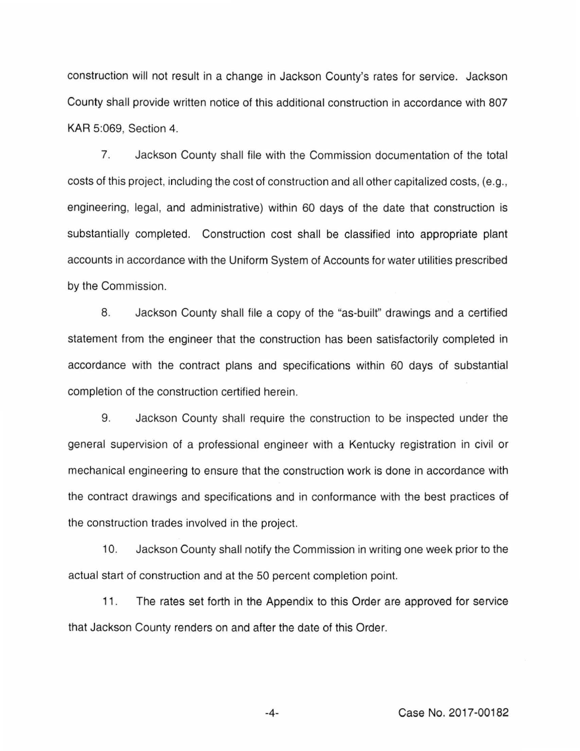construction will not result in a change in Jackson County's rates for service. Jackson County shall provide written notice of this additional construction in accordance with 807 KAR 5:069, Section 4.

7. Jackson County shall file with the Commission documentation of the total costs of this project, including the cost of construction and all other capitalized costs, (e.g., engineering, legal, and administrative) within 60 days of the date that construction is substantially completed. Construction cost shall be classified into appropriate plant accounts in accordance with the Uniform System of Accounts for water utilities prescribed by the Commission.

8. Jackson County shall file a copy of the "as-built" drawings and a certified statement from the engineer that the construction has been satisfactorily completed in accordance with the contract plans and specifications within 60 days of substantial completion of the construction certified herein.

9. Jackson County shall require the construction to be inspected under the general supervision of a professional engineer with a Kentucky registration in civil or mechanical engineering to ensure that the construction work is done in accordance with the contract drawings and specifications and in conformance with the best practices of the construction trades involved in the project.

10. Jackson County shall notify the Commission in writing one week prior to the actual start of construction and at the 50 percent completion point.

11. The rates set forth in the Appendix to this Order are approved for service that Jackson County renders on and after the date of this Order.

-4- Case No. 2017-00182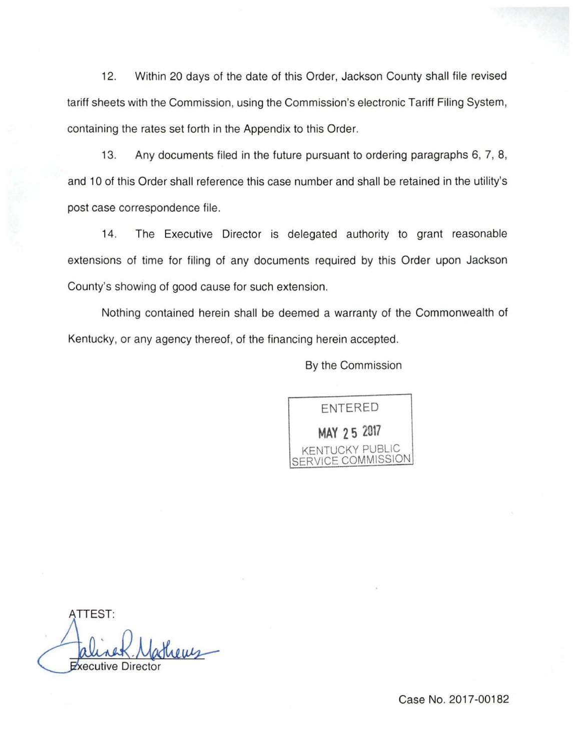12. Within 20 days of the date of this Order, Jackson County shall file revised tariff sheets with the Commission, using the Commission's electronic Tariff Filing System, containing the rates set forth in the Appendix to this Order.

13. Any documents filed in the future pursuant to ordering paragraphs 6, 7, 8, and 10 of this Order shall reference this case number and shall be retained in the utility's post case correspondence file.

14. The Executive Director is delegated authority to grant reasonable extensions of time for filing of any documents required by this Order upon Jackson County's showing of good cause for such extension.

Nothing contained herein shall be deemed a warranty of the Commonwealth of Kentucky, or any agency thereof, of the financing herein accepted.

By the Commission

ENTERED **MAY 2 5 2017**  KENTUCKY PUBLIC **ICE COMMISSION** 

ATTEST: **Cutive Dire** 

Case No. 2017-00182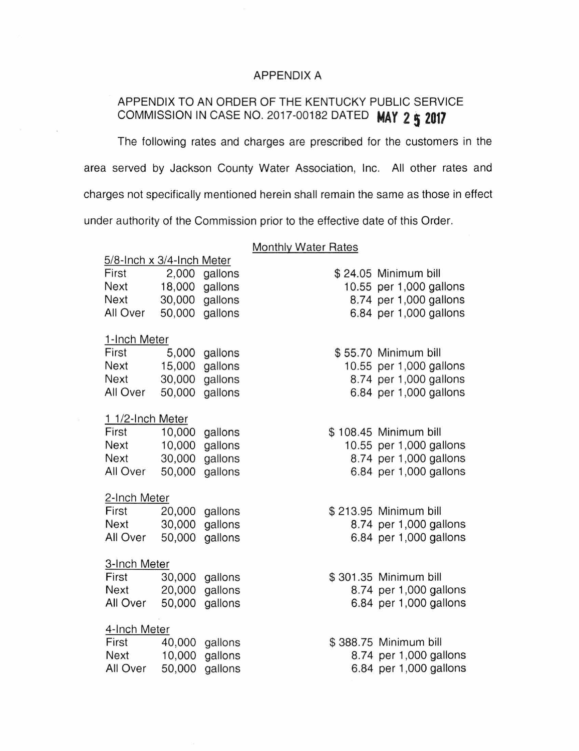## APPENDIX A

# APPENDIX TO AN ORDER OF THE KENTUCKY PUBLIC SERVICE COMMISSION IN CASE NO. 2017-00182 DATED **MAY 2\$ 2017**

The following rates and charges are prescribed for the customers in the area served by Jackson County Water Association, Inc. All other rates and charges not specifically mentioned herein shall remain the same as those in effect under authority of the Commission prior to the effective date of this Order.

## Monthly Water Rates

| 5/8-Inch x 3/4-Inch Meter |             |        |         |  |                         |
|---------------------------|-------------|--------|---------|--|-------------------------|
|                           | First       | 2,000  | gallons |  | \$24.05 Minimum bill    |
|                           | Next        | 18,000 | gallons |  | 10.55 per 1,000 gallons |
|                           | Next        | 30,000 | gallons |  | 8.74 per 1,000 gallons  |
|                           | All Over    | 50,000 | gallons |  | 6.84 per 1,000 gallons  |
|                           |             |        |         |  |                         |
| 1-Inch Meter              |             |        |         |  |                         |
|                           | First       | 5,000  | gallons |  | \$55.70 Minimum bill    |
|                           | Next        | 15,000 | gallons |  | 10.55 per 1,000 gallons |
|                           | <b>Next</b> | 30,000 | gallons |  | 8.74 per 1,000 gallons  |
|                           | All Over    | 50,000 | gallons |  | 6.84 per 1,000 gallons  |
|                           |             |        |         |  |                         |
| 1 1/2-Inch Meter          |             |        |         |  |                         |
|                           | First       | 10,000 | gallons |  | \$108.45 Minimum bill   |
|                           | Next        | 10,000 | gallons |  | 10.55 per 1,000 gallons |
|                           | Next        | 30,000 | gallons |  | 8.74 per 1,000 gallons  |
|                           | All Over    | 50,000 | gallons |  | 6.84 per 1,000 gallons  |
| 2-Inch Meter              |             |        |         |  |                         |
|                           | First       | 20,000 |         |  | \$213.95 Minimum bill   |
|                           | Next        | 30,000 | gallons |  | 8.74 per 1,000 gallons  |
|                           | All Over    | 50,000 | gallons |  | 6.84 per 1,000 gallons  |
|                           |             |        | gallons |  |                         |
| 3-Inch Meter              |             |        |         |  |                         |
|                           | First       | 30,000 | gallons |  | \$301.35 Minimum bill   |
|                           | Next        | 20,000 | gallons |  | 8.74 per 1,000 gallons  |
|                           | All Over    | 50,000 | gallons |  | 6.84 per 1,000 gallons  |
|                           |             |        |         |  |                         |
| 4-Inch Meter              |             |        |         |  |                         |
|                           | First       | 40,000 | gallons |  | \$388.75 Minimum bill   |
|                           | Next        | 10,000 | gallons |  | 8.74 per 1,000 gallons  |
|                           | All Over    | 50,000 | gallons |  | 6.84 per 1,000 gallons  |
|                           |             |        |         |  |                         |